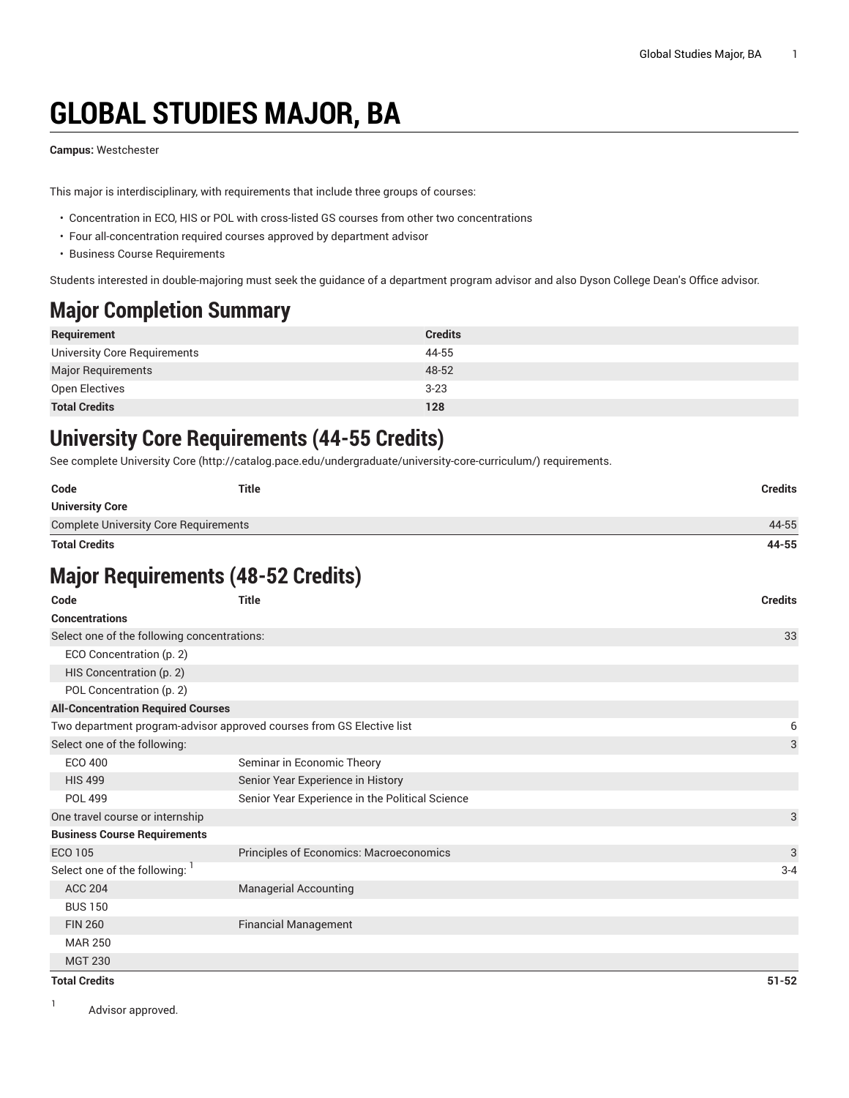# **GLOBAL STUDIES MAJOR, BA**

**Campus:** Westchester

This major is interdisciplinary, with requirements that include three groups of courses:

- Concentration in ECO, HIS or POL with cross-listed GS courses from other two concentrations
- Four all-concentration required courses approved by department advisor
- Business Course Requirements

Students interested in double-majoring must seek the guidance of a department program advisor and also Dyson College Dean's Office advisor.

### **Major Completion Summary**

| Requirement                  | <b>Credits</b> |
|------------------------------|----------------|
| University Core Requirements | 44-55          |
| <b>Major Requirements</b>    | 48-52          |
| Open Electives               | $3 - 23$       |
| <b>Total Credits</b>         | 128            |

### **University Core Requirements (44-55 Credits)**

See complete [University](http://catalog.pace.edu/undergraduate/university-core-curriculum/) Core (<http://catalog.pace.edu/undergraduate/university-core-curriculum/>) requirements.

| Code                                         | Title | <b>Credits</b> |
|----------------------------------------------|-------|----------------|
| <b>University Core</b>                       |       |                |
| <b>Complete University Core Requirements</b> |       | 44-55          |
| <b>Total Credits</b>                         |       | 44-55          |

# **Major Requirements (48-52 Credits)**

| Code                                        | <b>Title</b><br><b>Credits</b>                                        |           |
|---------------------------------------------|-----------------------------------------------------------------------|-----------|
| <b>Concentrations</b>                       |                                                                       |           |
| Select one of the following concentrations: |                                                                       | 33        |
| ECO Concentration (p. 2)                    |                                                                       |           |
| HIS Concentration (p. 2)                    |                                                                       |           |
| POL Concentration (p. 2)                    |                                                                       |           |
| <b>All-Concentration Required Courses</b>   |                                                                       |           |
|                                             | Two department program-advisor approved courses from GS Elective list | 6         |
| Select one of the following:                |                                                                       | 3         |
| <b>ECO 400</b>                              | Seminar in Economic Theory                                            |           |
| <b>HIS 499</b>                              | Senior Year Experience in History                                     |           |
| <b>POL 499</b>                              | Senior Year Experience in the Political Science                       |           |
| One travel course or internship             |                                                                       | 3         |
| <b>Business Course Requirements</b>         |                                                                       |           |
| <b>ECO 105</b>                              | Principles of Economics: Macroeconomics                               | 3         |
| Select one of the following:                |                                                                       | $3 - 4$   |
| <b>ACC 204</b>                              | <b>Managerial Accounting</b>                                          |           |
| <b>BUS 150</b>                              |                                                                       |           |
| <b>FIN 260</b>                              | <b>Financial Management</b>                                           |           |
| <b>MAR 250</b>                              |                                                                       |           |
| <b>MGT 230</b>                              |                                                                       |           |
| <b>Total Credits</b>                        |                                                                       | $51 - 52$ |

1 Advisor approved.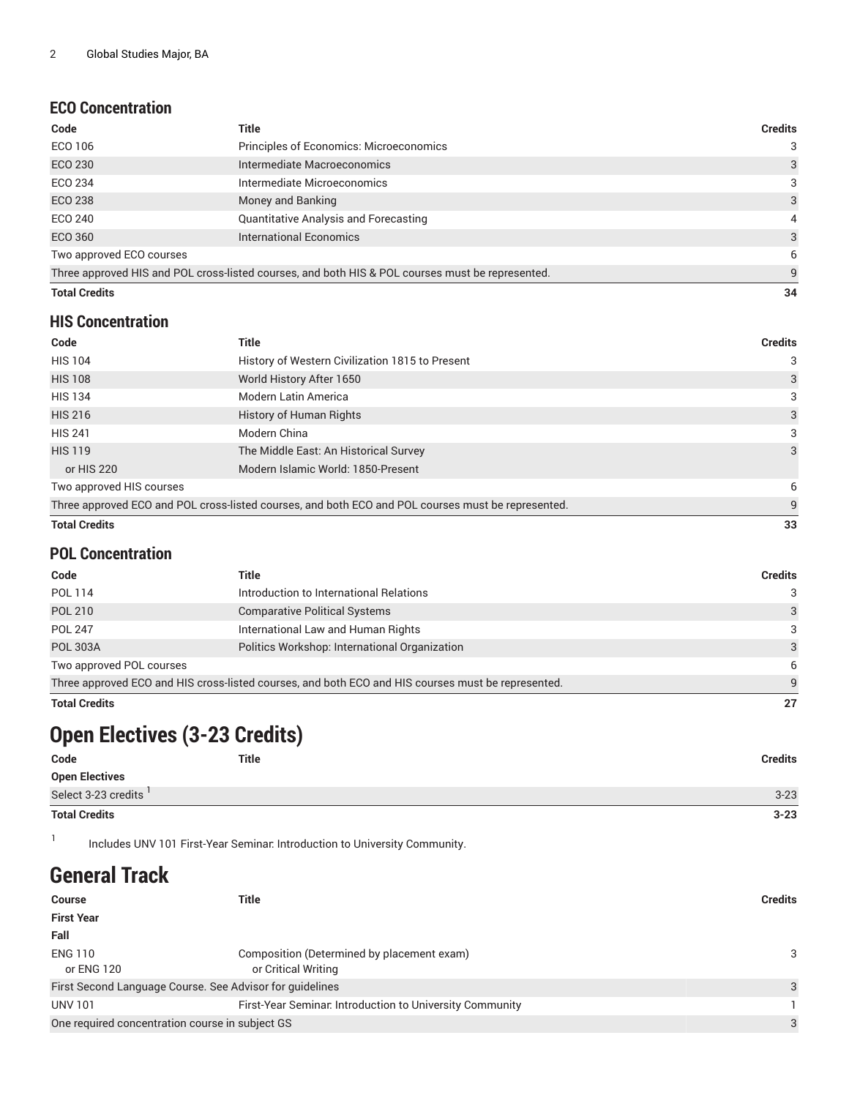#### <span id="page-1-0"></span>**ECO Concentration**

| Code                     | <b>Title</b>                                                                                     | <b>Credits</b> |
|--------------------------|--------------------------------------------------------------------------------------------------|----------------|
| ECO 106                  | Principles of Economics: Microeconomics                                                          | 3              |
| <b>ECO 230</b>           | Intermediate Macroeconomics                                                                      | 3              |
| ECO 234                  | Intermediate Microeconomics                                                                      | 3              |
| ECO 238                  | Money and Banking                                                                                | 3              |
| ECO 240                  | <b>Quantitative Analysis and Forecasting</b>                                                     | 4              |
| ECO 360                  | <b>International Economics</b>                                                                   | 3              |
| Two approved ECO courses |                                                                                                  | 6              |
|                          | Three approved HIS and POL cross-listed courses, and both HIS & POL courses must be represented. | 9              |
| <b>Total Credits</b>     |                                                                                                  | 34             |

#### <span id="page-1-1"></span>**HIS Concentration**

| Code                     | Title                                                                                              | <b>Credits</b> |
|--------------------------|----------------------------------------------------------------------------------------------------|----------------|
| <b>HIS 104</b>           | History of Western Civilization 1815 to Present                                                    | 3              |
| <b>HIS 108</b>           | World History After 1650                                                                           | 3              |
| <b>HIS 134</b>           | <b>Modern Latin America</b>                                                                        | 3              |
| <b>HIS 216</b>           | History of Human Rights                                                                            | 3              |
| <b>HIS 241</b>           | Modern China                                                                                       | 3              |
| <b>HIS 119</b>           | The Middle East: An Historical Survey                                                              | 3              |
| or HIS 220               | Modern Islamic World: 1850-Present                                                                 |                |
| Two approved HIS courses |                                                                                                    | 6              |
|                          | Three approved ECO and POL cross-listed courses, and both ECO and POL courses must be represented. | 9              |
| <b>Total Credits</b>     |                                                                                                    | 33             |

#### <span id="page-1-2"></span>**POL Concentration**

| Code                     | Title                                                                                              | <b>Credits</b> |
|--------------------------|----------------------------------------------------------------------------------------------------|----------------|
| POL 114                  | Introduction to International Relations                                                            | 3              |
| <b>POL 210</b>           | <b>Comparative Political Systems</b>                                                               | 3              |
| <b>POL 247</b>           | International Law and Human Rights                                                                 | 3              |
| <b>POL 303A</b>          | Politics Workshop: International Organization                                                      | 3              |
| Two approved POL courses |                                                                                                    | 6              |
|                          | Three approved ECO and HIS cross-listed courses, and both ECO and HIS courses must be represented. | q              |
| <b>Total Credits</b>     |                                                                                                    | 27             |

# **Open Electives (3-23 Credits)**

| Code                  | Title | <b>Credits</b> |
|-----------------------|-------|----------------|
| <b>Open Electives</b> |       |                |
| Select 3-23 credits ' |       | $3 - 23$       |
| <b>Total Credits</b>  |       | $3 - 23$       |

1 Includes UNV 101 First-Year Seminar: Introduction to University Community.

## **General Track**

| <b>Course</b>                                            | Title                                                    | <b>Credits</b> |
|----------------------------------------------------------|----------------------------------------------------------|----------------|
| <b>First Year</b>                                        |                                                          |                |
| Fall                                                     |                                                          |                |
| <b>ENG 110</b>                                           | Composition (Determined by placement exam)               | 3              |
| or ENG 120                                               | or Critical Writing                                      |                |
| First Second Language Course. See Advisor for guidelines |                                                          | 3              |
| <b>UNV 101</b>                                           | First-Year Seminar. Introduction to University Community |                |
| One required concentration course in subject GS          |                                                          | 3              |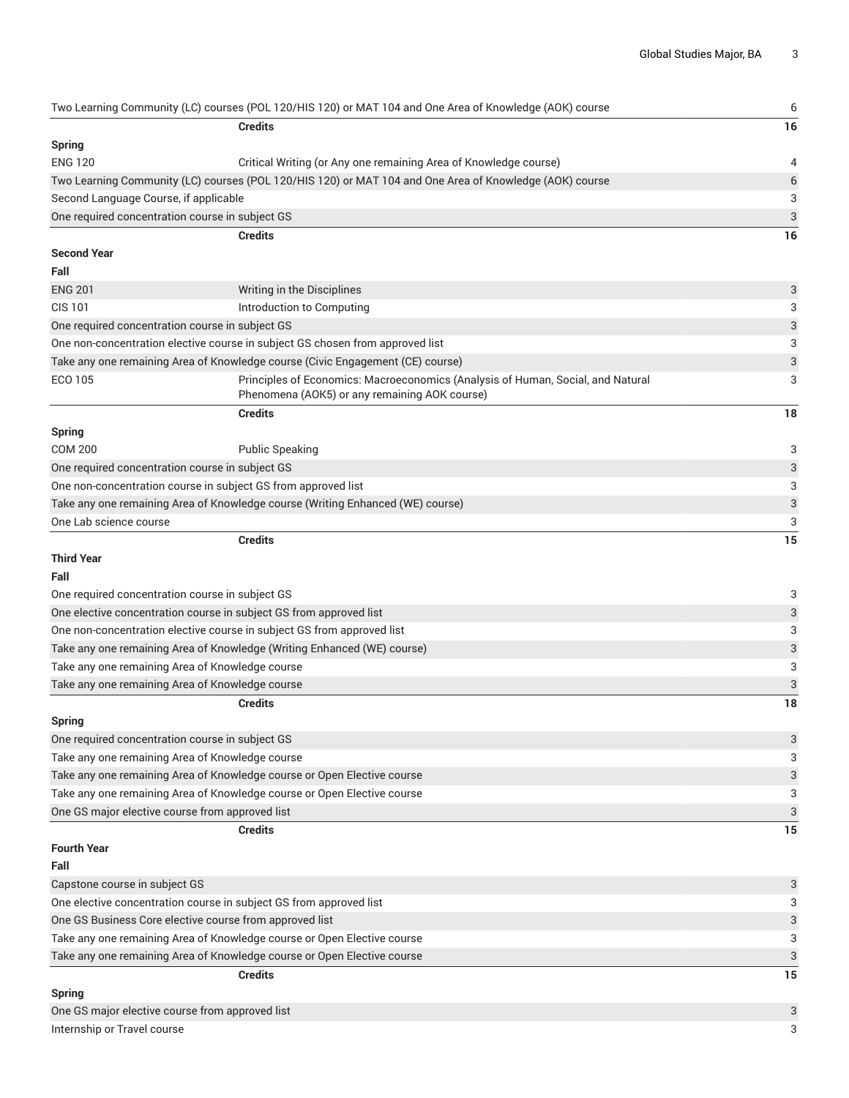|                                                 | Two Learning Community (LC) courses (POL 120/HIS 120) or MAT 104 and One Area of Knowledge (AOK) course                          | 6                         |
|-------------------------------------------------|----------------------------------------------------------------------------------------------------------------------------------|---------------------------|
|                                                 | <b>Credits</b>                                                                                                                   | 16                        |
| <b>Spring</b>                                   |                                                                                                                                  |                           |
| <b>ENG 120</b>                                  | Critical Writing (or Any one remaining Area of Knowledge course)                                                                 | 4                         |
|                                                 | Two Learning Community (LC) courses (POL 120/HIS 120) or MAT 104 and One Area of Knowledge (AOK) course                          | 6                         |
| Second Language Course, if applicable           |                                                                                                                                  | 3                         |
| One required concentration course in subject GS |                                                                                                                                  | $\ensuremath{\mathsf{3}}$ |
|                                                 | <b>Credits</b>                                                                                                                   | 16                        |
| <b>Second Year</b>                              |                                                                                                                                  |                           |
| Fall                                            |                                                                                                                                  |                           |
| <b>ENG 201</b>                                  | Writing in the Disciplines                                                                                                       | 3                         |
| <b>CIS 101</b>                                  | Introduction to Computing                                                                                                        | 3                         |
| One required concentration course in subject GS |                                                                                                                                  | 3                         |
|                                                 | One non-concentration elective course in subject GS chosen from approved list                                                    | 3                         |
|                                                 | Take any one remaining Area of Knowledge course (Civic Engagement (CE) course)                                                   | 3                         |
| ECO 105                                         | Principles of Economics: Macroeconomics (Analysis of Human, Social, and Natural<br>Phenomena (AOK5) or any remaining AOK course) | 3                         |
|                                                 | <b>Credits</b>                                                                                                                   | 18                        |
| <b>Spring</b>                                   |                                                                                                                                  |                           |
| <b>COM 200</b>                                  | <b>Public Speaking</b>                                                                                                           | 3                         |
| One required concentration course in subject GS |                                                                                                                                  | 3                         |
|                                                 | One non-concentration course in subject GS from approved list                                                                    | 3                         |
|                                                 | Take any one remaining Area of Knowledge course (Writing Enhanced (WE) course)                                                   | $\ensuremath{\mathsf{3}}$ |
| One Lab science course                          |                                                                                                                                  | 3                         |
|                                                 | <b>Credits</b>                                                                                                                   | 15                        |
| <b>Third Year</b>                               |                                                                                                                                  |                           |
| Fall                                            |                                                                                                                                  |                           |
| One required concentration course in subject GS |                                                                                                                                  | 3                         |
|                                                 | One elective concentration course in subject GS from approved list                                                               | 3                         |
|                                                 | One non-concentration elective course in subject GS from approved list                                                           | 3                         |
|                                                 | Take any one remaining Area of Knowledge (Writing Enhanced (WE) course)                                                          | 3                         |
| Take any one remaining Area of Knowledge course |                                                                                                                                  | 3                         |
| Take any one remaining Area of Knowledge course |                                                                                                                                  | 3                         |
|                                                 | <b>Credits</b>                                                                                                                   | 18                        |
| Spring                                          |                                                                                                                                  |                           |
| One required concentration course in subject GS |                                                                                                                                  | 3                         |
| Take any one remaining Area of Knowledge course |                                                                                                                                  | 3                         |
|                                                 | Take any one remaining Area of Knowledge course or Open Elective course                                                          | 3                         |
|                                                 | Take any one remaining Area of Knowledge course or Open Elective course                                                          | 3                         |
| One GS major elective course from approved list |                                                                                                                                  | $\ensuremath{\mathsf{3}}$ |
|                                                 | Credits                                                                                                                          | 15                        |
| <b>Fourth Year</b>                              |                                                                                                                                  |                           |
| Fall                                            |                                                                                                                                  |                           |
| Capstone course in subject GS                   |                                                                                                                                  | 3                         |
|                                                 | One elective concentration course in subject GS from approved list                                                               | 3                         |
|                                                 | One GS Business Core elective course from approved list                                                                          | 3                         |
|                                                 | Take any one remaining Area of Knowledge course or Open Elective course                                                          | 3                         |
|                                                 | Take any one remaining Area of Knowledge course or Open Elective course                                                          | 3                         |
|                                                 | <b>Credits</b>                                                                                                                   | 15                        |
| <b>Spring</b>                                   |                                                                                                                                  |                           |
| One GS major elective course from approved list |                                                                                                                                  | 3                         |
| Internship or Travel course                     |                                                                                                                                  | 3                         |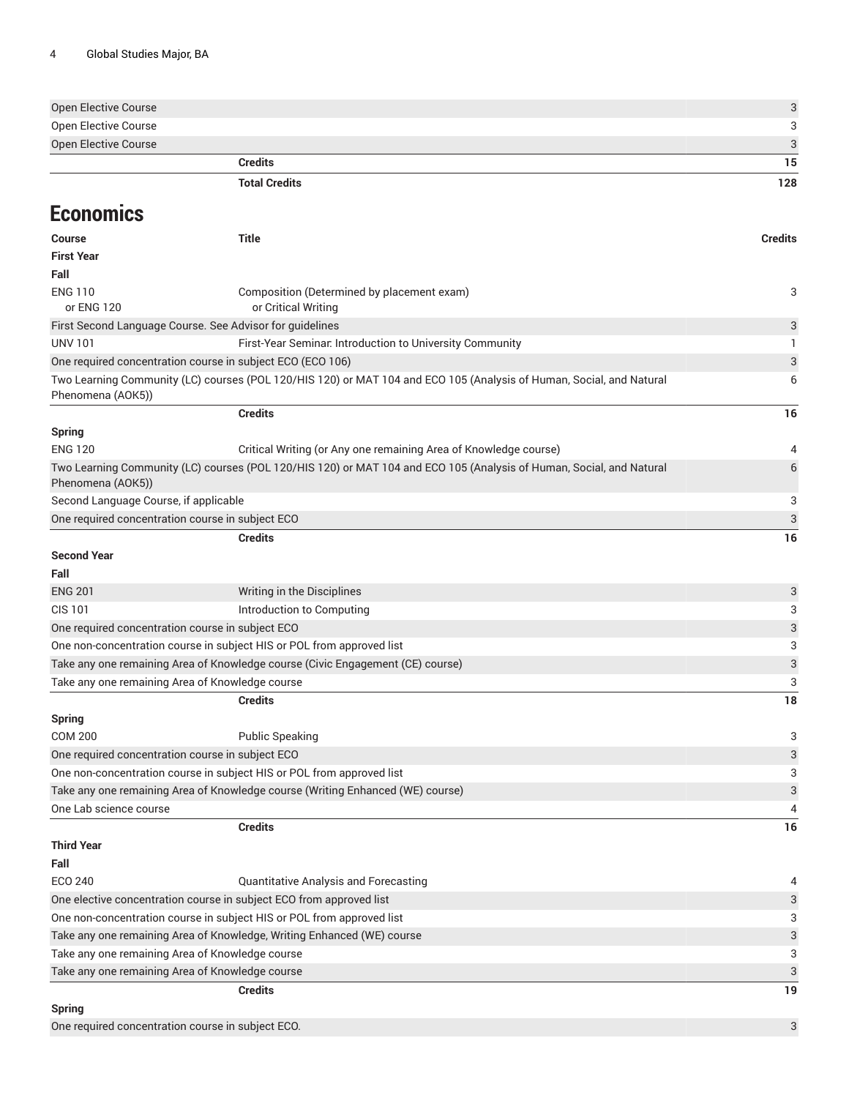| Open Elective Course |    |
|----------------------|----|
| Open Elective Course |    |
| Open Elective Course |    |
| <b>Credits</b>       | 15 |

#### **Total Credits 128**

### **Economics**

| <b>Course</b>                                              | <b>Title</b>                                                                                                         | <b>Credits</b> |
|------------------------------------------------------------|----------------------------------------------------------------------------------------------------------------------|----------------|
| <b>First Year</b>                                          |                                                                                                                      |                |
| Fall                                                       |                                                                                                                      |                |
| <b>ENG 110</b><br>or ENG 120                               | Composition (Determined by placement exam)<br>or Critical Writing                                                    | 3              |
| First Second Language Course. See Advisor for guidelines   |                                                                                                                      | 3              |
| <b>UNV 101</b>                                             | First-Year Seminar. Introduction to University Community                                                             | 1              |
| One required concentration course in subject ECO (ECO 106) |                                                                                                                      | 3              |
| Phenomena (AOK5))                                          | Two Learning Community (LC) courses (POL 120/HIS 120) or MAT 104 and ECO 105 (Analysis of Human, Social, and Natural | 6              |
|                                                            | <b>Credits</b>                                                                                                       | 16             |
| <b>Spring</b>                                              |                                                                                                                      |                |
| <b>ENG 120</b>                                             | Critical Writing (or Any one remaining Area of Knowledge course)                                                     | 4              |
| Phenomena (AOK5))                                          | Two Learning Community (LC) courses (POL 120/HIS 120) or MAT 104 and ECO 105 (Analysis of Human, Social, and Natural | 6              |
| Second Language Course, if applicable                      |                                                                                                                      | 3              |
| One required concentration course in subject ECO           |                                                                                                                      | 3              |
|                                                            | <b>Credits</b>                                                                                                       | 16             |
| <b>Second Year</b><br>Fall                                 |                                                                                                                      |                |
| <b>ENG 201</b>                                             | Writing in the Disciplines                                                                                           | 3              |
| <b>CIS 101</b>                                             | Introduction to Computing                                                                                            | 3              |
| One required concentration course in subject ECO           |                                                                                                                      | 3              |
|                                                            | One non-concentration course in subject HIS or POL from approved list                                                | 3              |
|                                                            | Take any one remaining Area of Knowledge course (Civic Engagement (CE) course)                                       | 3              |
| Take any one remaining Area of Knowledge course            |                                                                                                                      | 3              |
|                                                            | <b>Credits</b>                                                                                                       | 18             |
| <b>Spring</b>                                              |                                                                                                                      |                |
| <b>COM 200</b>                                             | <b>Public Speaking</b>                                                                                               | 3              |
| One required concentration course in subject ECO           |                                                                                                                      | 3              |
|                                                            | One non-concentration course in subject HIS or POL from approved list                                                | 3              |
|                                                            | Take any one remaining Area of Knowledge course (Writing Enhanced (WE) course)                                       | 3              |
| One Lab science course                                     |                                                                                                                      | 4              |
| <b>Third Year</b>                                          | <b>Credits</b>                                                                                                       | 16             |
| Fall                                                       |                                                                                                                      |                |
| <b>ECO 240</b>                                             | <b>Quantitative Analysis and Forecasting</b>                                                                         | 4              |
|                                                            | One elective concentration course in subject ECO from approved list                                                  | 3              |
|                                                            | One non-concentration course in subject HIS or POL from approved list                                                | 3              |
|                                                            | Take any one remaining Area of Knowledge, Writing Enhanced (WE) course                                               | 3              |
| Take any one remaining Area of Knowledge course            |                                                                                                                      | 3              |
| Take any one remaining Area of Knowledge course            |                                                                                                                      | 3              |
|                                                            | <b>Credits</b>                                                                                                       | 19             |
| <b>Spring</b>                                              |                                                                                                                      |                |
| One required concentration course in subject ECO.          |                                                                                                                      | 3              |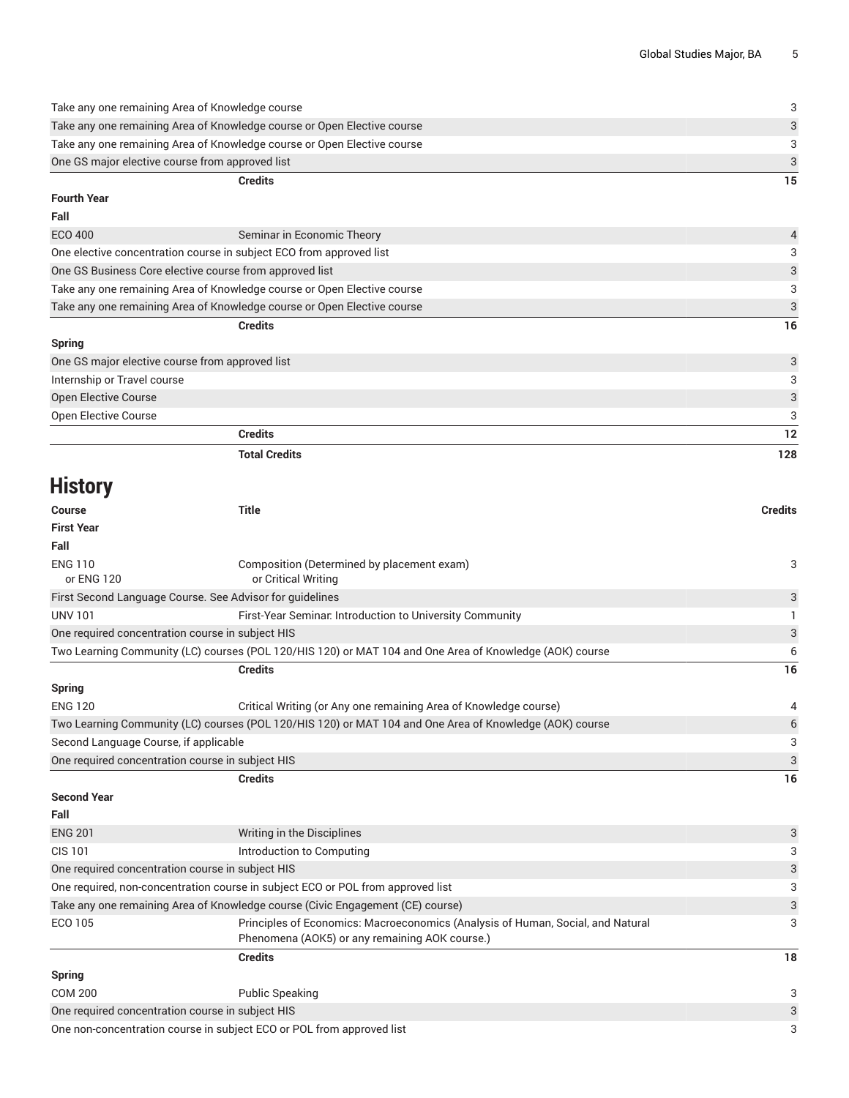| Take any one remaining Area of Knowledge course                         |    |
|-------------------------------------------------------------------------|----|
| Take any one remaining Area of Knowledge course or Open Elective course | 3  |
| Take any one remaining Area of Knowledge course or Open Elective course |    |
| One GS major elective course from approved list                         | 3  |
| <b>Credits</b>                                                          | 15 |
| <b>Fourth Year</b>                                                      |    |
| Fall                                                                    |    |

| $\sim$ $\sim$ $\sim$ $\sim$                                             |                                                                         |               |
|-------------------------------------------------------------------------|-------------------------------------------------------------------------|---------------|
|                                                                         | <b>Credits</b>                                                          | 16            |
|                                                                         | Take any one remaining Area of Knowledge course or Open Elective course | $\mathcal{R}$ |
| Take any one remaining Area of Knowledge course or Open Elective course |                                                                         | 3             |
|                                                                         | One GS Business Core elective course from approved list                 | $\mathcal{R}$ |
|                                                                         | One elective concentration course in subject ECO from approved list     | 3             |
| ECO 400                                                                 | Seminar in Economic Theory                                              | $\Delta$      |
| .                                                                       |                                                                         |               |

| Spring                                          |     |
|-------------------------------------------------|-----|
| One GS major elective course from approved list |     |
| Internship or Travel course                     |     |
| Open Elective Course                            | 3   |
| Open Elective Course                            |     |
| <b>Credits</b>                                  | 12  |
| <b>Total Credits</b>                            | 128 |

# **History**

| <b>Course</b>                                    | <b>Title</b>                                                                                                                      | <b>Credits</b> |
|--------------------------------------------------|-----------------------------------------------------------------------------------------------------------------------------------|----------------|
| <b>First Year</b>                                |                                                                                                                                   |                |
| Fall                                             |                                                                                                                                   |                |
| <b>ENG 110</b><br>or ENG 120                     | Composition (Determined by placement exam)<br>or Critical Writing                                                                 | 3              |
|                                                  | First Second Language Course. See Advisor for guidelines                                                                          | 3              |
| <b>UNV 101</b>                                   | First-Year Seminar. Introduction to University Community                                                                          |                |
| One required concentration course in subject HIS |                                                                                                                                   | 3              |
|                                                  | Two Learning Community (LC) courses (POL 120/HIS 120) or MAT 104 and One Area of Knowledge (AOK) course                           | 6              |
|                                                  | <b>Credits</b>                                                                                                                    | 16             |
| <b>Spring</b>                                    |                                                                                                                                   |                |
| <b>ENG 120</b>                                   | Critical Writing (or Any one remaining Area of Knowledge course)                                                                  | 4              |
|                                                  | Two Learning Community (LC) courses (POL 120/HIS 120) or MAT 104 and One Area of Knowledge (AOK) course                           | 6              |
| Second Language Course, if applicable            |                                                                                                                                   | 3              |
| One required concentration course in subject HIS |                                                                                                                                   | 3              |
|                                                  | <b>Credits</b>                                                                                                                    | 16             |
| <b>Second Year</b>                               |                                                                                                                                   |                |
| Fall                                             |                                                                                                                                   |                |
| <b>ENG 201</b>                                   | Writing in the Disciplines                                                                                                        | 3              |
| <b>CIS 101</b>                                   | Introduction to Computing                                                                                                         | 3              |
| One required concentration course in subject HIS |                                                                                                                                   | 3              |
|                                                  | One required, non-concentration course in subject ECO or POL from approved list                                                   | 3              |
|                                                  | Take any one remaining Area of Knowledge course (Civic Engagement (CE) course)                                                    | 3              |
| <b>ECO 105</b>                                   | Principles of Economics: Macroeconomics (Analysis of Human, Social, and Natural<br>Phenomena (AOK5) or any remaining AOK course.) | 3              |
|                                                  | <b>Credits</b>                                                                                                                    | 18             |

|                                                                       | -------         | . |
|-----------------------------------------------------------------------|-----------------|---|
| Spring                                                                |                 |   |
| <b>COM 200</b>                                                        | Public Speaking |   |
| One required concentration course in subject HIS                      |                 |   |
| One non-concentration course in subject ECO or POL from approved list |                 |   |
|                                                                       |                 |   |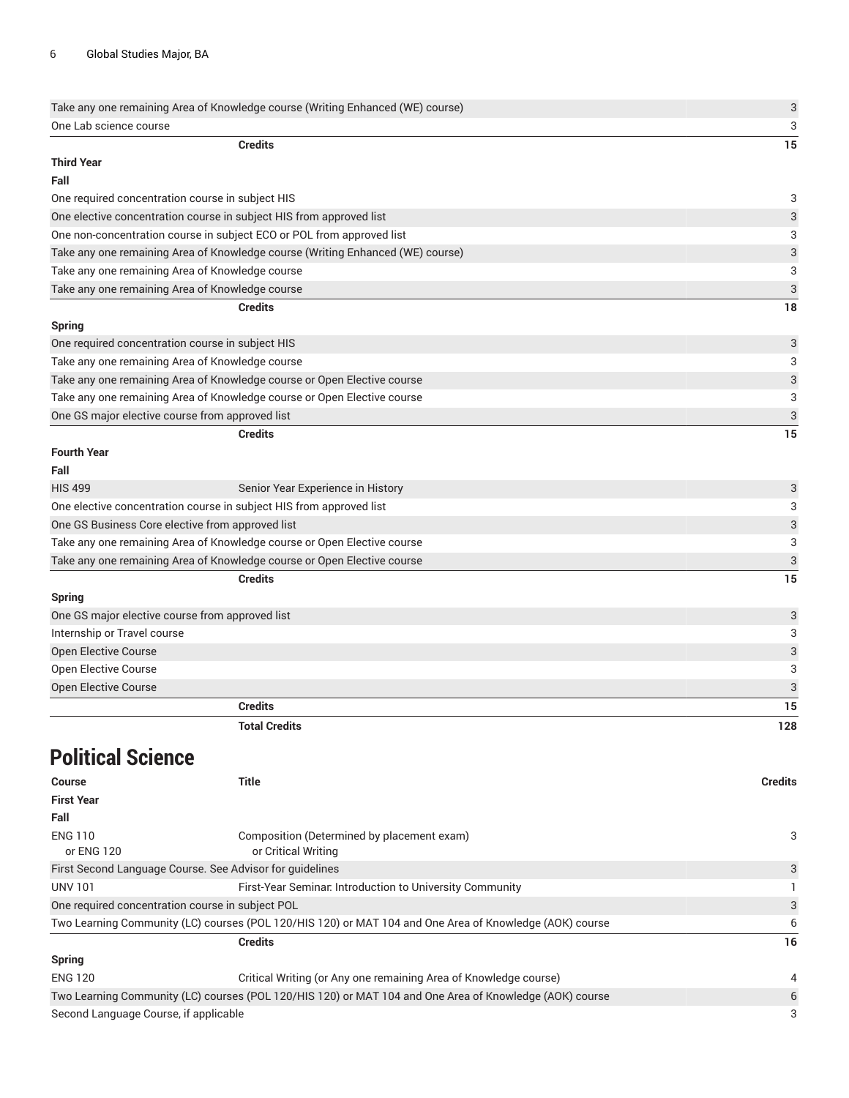|                                                  | Take any one remaining Area of Knowledge course (Writing Enhanced (WE) course)                          | $\sqrt{3}$                |
|--------------------------------------------------|---------------------------------------------------------------------------------------------------------|---------------------------|
| One Lab science course                           |                                                                                                         | 3                         |
|                                                  | <b>Credits</b>                                                                                          | 15                        |
| <b>Third Year</b>                                |                                                                                                         |                           |
| Fall                                             |                                                                                                         |                           |
| One required concentration course in subject HIS |                                                                                                         | 3                         |
|                                                  | One elective concentration course in subject HIS from approved list                                     | $\ensuremath{\mathsf{3}}$ |
|                                                  | One non-concentration course in subject ECO or POL from approved list                                   | 3                         |
|                                                  | Take any one remaining Area of Knowledge course (Writing Enhanced (WE) course)                          | 3                         |
| Take any one remaining Area of Knowledge course  |                                                                                                         | 3                         |
| Take any one remaining Area of Knowledge course  |                                                                                                         | 3                         |
|                                                  | <b>Credits</b>                                                                                          | 18                        |
| <b>Spring</b>                                    |                                                                                                         |                           |
| One required concentration course in subject HIS |                                                                                                         | 3                         |
| Take any one remaining Area of Knowledge course  |                                                                                                         | 3                         |
|                                                  | Take any one remaining Area of Knowledge course or Open Elective course                                 | 3                         |
|                                                  | Take any one remaining Area of Knowledge course or Open Elective course                                 | 3                         |
| One GS major elective course from approved list  |                                                                                                         | 3                         |
|                                                  | <b>Credits</b>                                                                                          | 15                        |
| <b>Fourth Year</b>                               |                                                                                                         |                           |
| Fall                                             |                                                                                                         |                           |
| <b>HIS 499</b>                                   | Senior Year Experience in History                                                                       | 3                         |
|                                                  | One elective concentration course in subject HIS from approved list                                     | 3                         |
| One GS Business Core elective from approved list |                                                                                                         | $\ensuremath{\mathsf{3}}$ |
|                                                  | Take any one remaining Area of Knowledge course or Open Elective course                                 | 3                         |
|                                                  | Take any one remaining Area of Knowledge course or Open Elective course                                 | 3                         |
|                                                  | <b>Credits</b>                                                                                          | 15                        |
| <b>Spring</b>                                    |                                                                                                         |                           |
| One GS major elective course from approved list  |                                                                                                         | 3                         |
| Internship or Travel course                      |                                                                                                         | 3                         |
| <b>Open Elective Course</b>                      |                                                                                                         | $\ensuremath{\mathsf{3}}$ |
| Open Elective Course                             |                                                                                                         | 3                         |
| Open Elective Course                             |                                                                                                         | 3                         |
|                                                  | <b>Credits</b>                                                                                          | 15                        |
|                                                  |                                                                                                         |                           |
|                                                  | <b>Total Credits</b>                                                                                    | 128                       |
| <b>Political Science</b>                         |                                                                                                         |                           |
|                                                  |                                                                                                         |                           |
| Course                                           | <b>Title</b>                                                                                            | <b>Credits</b>            |
| <b>First Year</b>                                |                                                                                                         |                           |
| Fall                                             |                                                                                                         |                           |
| <b>ENG 110</b>                                   | Composition (Determined by placement exam)                                                              | 3                         |
| or ENG 120                                       | or Critical Writing                                                                                     |                           |
|                                                  | First Second Language Course. See Advisor for guidelines                                                | 3                         |
| <b>UNV 101</b>                                   | First-Year Seminar. Introduction to University Community                                                | 1                         |
| One required concentration course in subject POL |                                                                                                         | 3                         |
|                                                  | Two Learning Community (LC) courses (POL 120/HIS 120) or MAT 104 and One Area of Knowledge (AOK) course | 6                         |
|                                                  | <b>Credits</b>                                                                                          | 16                        |
| <b>Spring</b>                                    |                                                                                                         |                           |
| <b>ENG 120</b>                                   | Critical Writing (or Any one remaining Area of Knowledge course)                                        | 4                         |

Two Learning Community (LC) courses (POL 120/HIS 120) or MAT 104 and One Area of Knowledge (AOK) course 6 Second Language Course, if applicable 3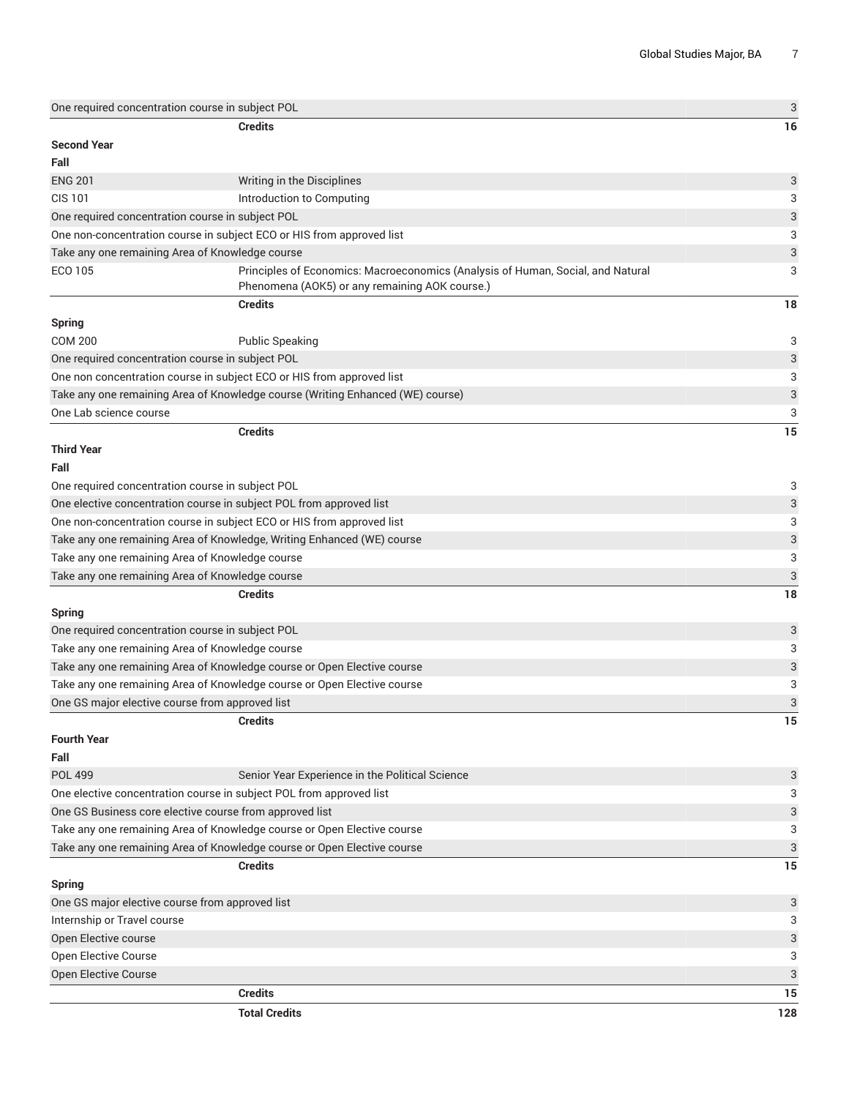|                                                 | One required concentration course in subject POL                                                                                  | 3                         |
|-------------------------------------------------|-----------------------------------------------------------------------------------------------------------------------------------|---------------------------|
|                                                 | <b>Credits</b>                                                                                                                    | 16                        |
| <b>Second Year</b>                              |                                                                                                                                   |                           |
| Fall                                            |                                                                                                                                   |                           |
| <b>ENG 201</b>                                  | Writing in the Disciplines                                                                                                        | 3                         |
| <b>CIS 101</b>                                  | Introduction to Computing                                                                                                         | 3                         |
|                                                 | One required concentration course in subject POL                                                                                  | 3                         |
|                                                 | One non-concentration course in subject ECO or HIS from approved list                                                             | 3                         |
|                                                 | Take any one remaining Area of Knowledge course                                                                                   | 3                         |
| ECO 105                                         | Principles of Economics: Macroeconomics (Analysis of Human, Social, and Natural<br>Phenomena (AOK5) or any remaining AOK course.) | 3                         |
|                                                 | <b>Credits</b>                                                                                                                    | 18                        |
| <b>Spring</b>                                   |                                                                                                                                   |                           |
| <b>COM 200</b>                                  | <b>Public Speaking</b>                                                                                                            | 3                         |
|                                                 | One required concentration course in subject POL                                                                                  | 3                         |
|                                                 | One non concentration course in subject ECO or HIS from approved list                                                             | 3                         |
|                                                 | Take any one remaining Area of Knowledge course (Writing Enhanced (WE) course)                                                    | $\ensuremath{\mathsf{3}}$ |
| One Lab science course                          |                                                                                                                                   | 3                         |
|                                                 | <b>Credits</b>                                                                                                                    | 15                        |
| <b>Third Year</b>                               |                                                                                                                                   |                           |
| Fall                                            |                                                                                                                                   |                           |
|                                                 | One required concentration course in subject POL                                                                                  | 3                         |
|                                                 | One elective concentration course in subject POL from approved list                                                               | 3                         |
|                                                 | One non-concentration course in subject ECO or HIS from approved list                                                             | 3                         |
|                                                 | Take any one remaining Area of Knowledge, Writing Enhanced (WE) course                                                            | $\ensuremath{\mathsf{3}}$ |
|                                                 | Take any one remaining Area of Knowledge course                                                                                   | 3                         |
|                                                 | Take any one remaining Area of Knowledge course                                                                                   | 3                         |
|                                                 | <b>Credits</b>                                                                                                                    | 18                        |
|                                                 |                                                                                                                                   |                           |
| <b>Spring</b>                                   |                                                                                                                                   |                           |
|                                                 | One required concentration course in subject POL<br>Take any one remaining Area of Knowledge course                               | 3                         |
|                                                 |                                                                                                                                   | 3                         |
|                                                 | Take any one remaining Area of Knowledge course or Open Elective course                                                           | 3                         |
|                                                 | Take any one remaining Area of Knowledge course or Open Elective course                                                           | 3                         |
| One GS major elective course from approved list |                                                                                                                                   | 3                         |
| <b>Fourth Year</b><br>Fall                      | <b>Credits</b>                                                                                                                    | 15                        |
| POL 499                                         | Senior Year Experience in the Political Science                                                                                   | 3                         |
|                                                 | One elective concentration course in subject POL from approved list                                                               | 3                         |
|                                                 | One GS Business core elective course from approved list                                                                           | 3                         |
|                                                 | Take any one remaining Area of Knowledge course or Open Elective course                                                           | 3                         |
|                                                 | Take any one remaining Area of Knowledge course or Open Elective course                                                           | 3                         |
|                                                 | <b>Credits</b>                                                                                                                    | 15                        |
|                                                 |                                                                                                                                   |                           |
| <b>Spring</b>                                   |                                                                                                                                   |                           |
| One GS major elective course from approved list |                                                                                                                                   | 3                         |
| Internship or Travel course                     |                                                                                                                                   | 3                         |
| Open Elective course                            |                                                                                                                                   | 3                         |
| <b>Open Elective Course</b>                     |                                                                                                                                   | 3                         |
| Open Elective Course                            |                                                                                                                                   | 3                         |
|                                                 | <b>Credits</b>                                                                                                                    | 15                        |
|                                                 | <b>Total Credits</b>                                                                                                              | 128                       |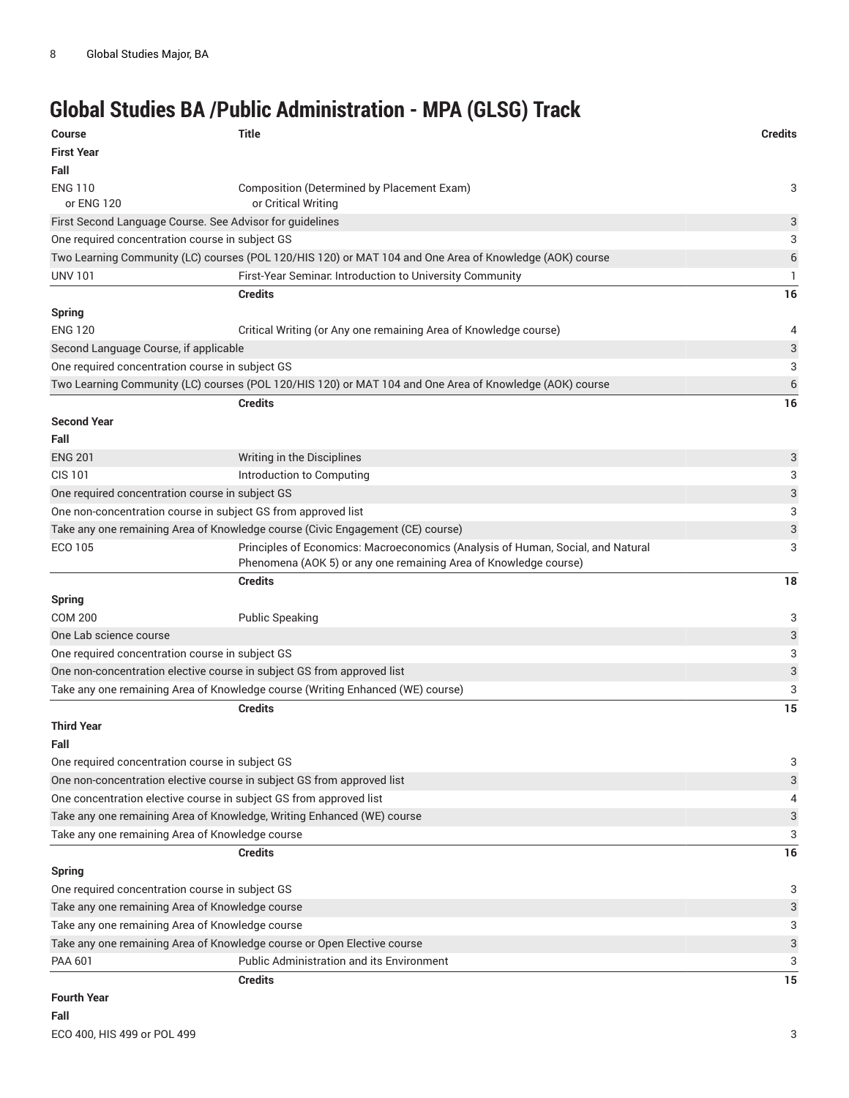# **Global Studies BA /Public Administration - MPA (GLSG) Track**

| <b>Course</b>                                   | <b>Title</b>                                                                                                                                        | <b>Credits</b> |
|-------------------------------------------------|-----------------------------------------------------------------------------------------------------------------------------------------------------|----------------|
| <b>First Year</b>                               |                                                                                                                                                     |                |
| Fall                                            |                                                                                                                                                     |                |
| <b>ENG 110</b>                                  | Composition (Determined by Placement Exam)                                                                                                          | 3              |
| or ENG 120                                      | or Critical Writing                                                                                                                                 |                |
|                                                 | First Second Language Course. See Advisor for guidelines                                                                                            | 3              |
| One required concentration course in subject GS |                                                                                                                                                     | 3              |
|                                                 | Two Learning Community (LC) courses (POL 120/HIS 120) or MAT 104 and One Area of Knowledge (AOK) course                                             | 6              |
| <b>UNV 101</b>                                  | First-Year Seminar. Introduction to University Community                                                                                            | 1              |
|                                                 | <b>Credits</b>                                                                                                                                      | 16             |
| <b>Spring</b>                                   |                                                                                                                                                     |                |
| <b>ENG 120</b>                                  | Critical Writing (or Any one remaining Area of Knowledge course)                                                                                    | 4              |
| Second Language Course, if applicable           |                                                                                                                                                     | 3              |
| One required concentration course in subject GS |                                                                                                                                                     | 3              |
|                                                 | Two Learning Community (LC) courses (POL 120/HIS 120) or MAT 104 and One Area of Knowledge (AOK) course                                             | $\,$ 6 $\,$    |
|                                                 | <b>Credits</b>                                                                                                                                      | 16             |
| <b>Second Year</b>                              |                                                                                                                                                     |                |
| Fall                                            |                                                                                                                                                     |                |
| <b>ENG 201</b>                                  | Writing in the Disciplines                                                                                                                          | 3              |
| <b>CIS 101</b>                                  | Introduction to Computing                                                                                                                           | 3              |
| One required concentration course in subject GS |                                                                                                                                                     | 3              |
|                                                 | One non-concentration course in subject GS from approved list                                                                                       | 3              |
|                                                 | Take any one remaining Area of Knowledge course (Civic Engagement (CE) course)                                                                      | 3              |
| ECO 105                                         | Principles of Economics: Macroeconomics (Analysis of Human, Social, and Natural<br>Phenomena (AOK 5) or any one remaining Area of Knowledge course) | 3              |
|                                                 | <b>Credits</b>                                                                                                                                      | 18             |
| <b>Spring</b>                                   |                                                                                                                                                     |                |
| <b>COM 200</b>                                  | <b>Public Speaking</b>                                                                                                                              | 3              |
| One Lab science course                          |                                                                                                                                                     | 3              |
| One required concentration course in subject GS |                                                                                                                                                     | 3              |
|                                                 | One non-concentration elective course in subject GS from approved list                                                                              | 3              |
|                                                 | Take any one remaining Area of Knowledge course (Writing Enhanced (WE) course)                                                                      | 3              |
|                                                 | <b>Credits</b>                                                                                                                                      | 15             |
| <b>Third Year</b>                               |                                                                                                                                                     |                |
| Fall                                            |                                                                                                                                                     |                |
| One required concentration course in subject GS |                                                                                                                                                     | 3              |
|                                                 | One non-concentration elective course in subject GS from approved list                                                                              | 3              |
|                                                 | One concentration elective course in subject GS from approved list                                                                                  | 4              |
|                                                 | Take any one remaining Area of Knowledge, Writing Enhanced (WE) course                                                                              | 3              |
| Take any one remaining Area of Knowledge course |                                                                                                                                                     | 3              |
|                                                 | <b>Credits</b>                                                                                                                                      | 16             |
| <b>Spring</b>                                   |                                                                                                                                                     |                |
| One required concentration course in subject GS |                                                                                                                                                     | 3              |
| Take any one remaining Area of Knowledge course |                                                                                                                                                     | 3              |
| Take any one remaining Area of Knowledge course |                                                                                                                                                     | 3              |
|                                                 | Take any one remaining Area of Knowledge course or Open Elective course                                                                             | 3              |
| PAA 601                                         | <b>Public Administration and its Environment</b>                                                                                                    | 3              |
|                                                 | <b>Credits</b>                                                                                                                                      | 15             |
| <b>Equrth Voor</b>                              |                                                                                                                                                     |                |